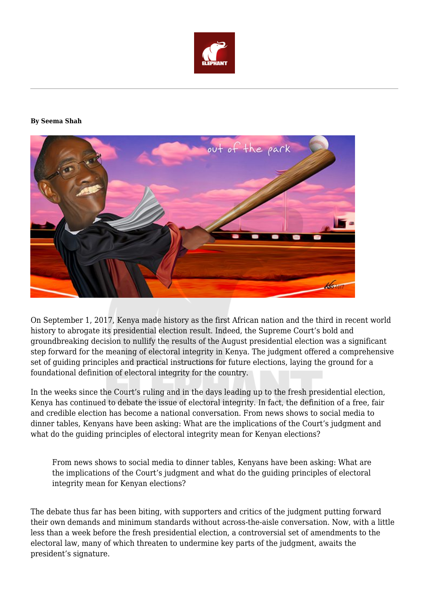

#### **By Seema Shah**



On September 1, 2017, Kenya made history as the first African nation and the third in recent world history to abrogate its presidential election result. Indeed, the Supreme Court's bold and groundbreaking decision to nullify the results of the August presidential election was a significant step forward for the meaning of electoral integrity in Kenya. The judgment offered a comprehensive set of guiding principles and practical instructions for future elections, laying the ground for a foundational definition of electoral integrity for the country.

In the weeks since the Court's ruling and in the days leading up to the fresh presidential election, Kenya has continued to debate the issue of electoral integrity. In fact, the definition of a free, fair and credible election has become a national conversation. From news shows to social media to dinner tables, Kenyans have been asking: What are the implications of the Court's judgment and what do the guiding principles of electoral integrity mean for Kenyan elections?

From news shows to social media to dinner tables, Kenyans have been asking: What are the implications of the Court's judgment and what do the guiding principles of electoral integrity mean for Kenyan elections?

The debate thus far has been biting, with supporters and critics of the judgment putting forward their own demands and minimum standards without across-the-aisle conversation. Now, with a little less than a week before the fresh presidential election, a controversial set of amendments to the electoral law, many of which threaten to undermine key parts of the judgment, awaits the president's signature.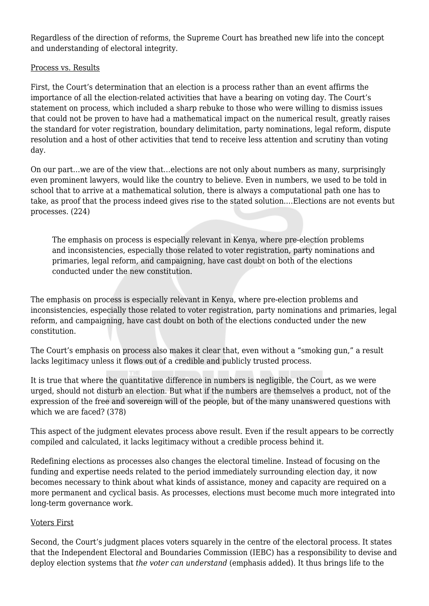Regardless of the direction of reforms, the Supreme Court has breathed new life into the concept and understanding of electoral integrity.

## Process vs. Results

First, the Court's determination that an election is a process rather than an event affirms the importance of all the election-related activities that have a bearing on voting day. The Court's statement on process, which included a sharp rebuke to those who were willing to dismiss issues that could not be proven to have had a mathematical impact on the numerical result, greatly raises the standard for voter registration, boundary delimitation, party nominations, legal reform, dispute resolution and a host of other activities that tend to receive less attention and scrutiny than voting day.

On our part…we are of the view that…elections are not only about numbers as many, surprisingly even prominent lawyers, would like the country to believe. Even in numbers, we used to be told in school that to arrive at a mathematical solution, there is always a computational path one has to take, as proof that the process indeed gives rise to the stated solution.…Elections are not events but processes. (224)

The emphasis on process is especially relevant in Kenya, where pre-election problems and inconsistencies, especially those related to voter registration, party nominations and primaries, legal reform, and campaigning, have cast doubt on both of the elections conducted under the new constitution.

The emphasis on process is especially relevant in Kenya, where pre-election problems and inconsistencies, especially those related to voter registration, party nominations and primaries, legal reform, and campaigning, have cast doubt on both of the elections conducted under the new constitution.

The Court's emphasis on process also makes it clear that, even without a "smoking gun," a result lacks legitimacy unless it flows out of a credible and publicly trusted process.

It is true that where the quantitative difference in numbers is negligible, the Court, as we were urged, should not disturb an election. But what if the numbers are themselves a product, not of the expression of the free and sovereign will of the people, but of the many unanswered questions with which we are faced? (378)

This aspect of the judgment elevates process above result. Even if the result appears to be correctly compiled and calculated, it lacks legitimacy without a credible process behind it.

Redefining elections as processes also changes the electoral timeline. Instead of focusing on the funding and expertise needs related to the period immediately surrounding election day, it now becomes necessary to think about what kinds of assistance, money and capacity are required on a more permanent and cyclical basis. As processes, elections must become much more integrated into long-term governance work.

## Voters First

Second, the Court's judgment places voters squarely in the centre of the electoral process. It states that the Independent Electoral and Boundaries Commission (IEBC) has a responsibility to devise and deploy election systems that *the voter can understand* (emphasis added). It thus brings life to the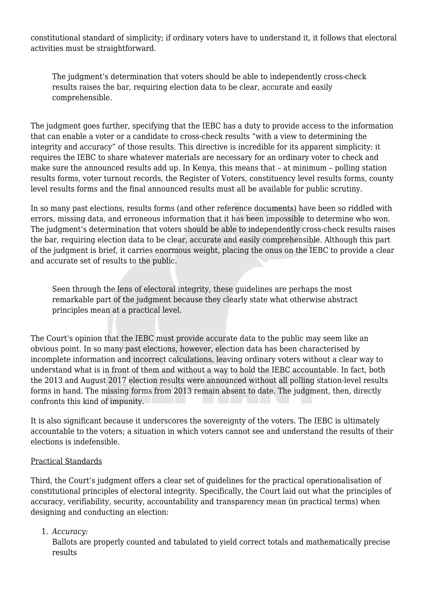constitutional standard of simplicity; if ordinary voters have to understand it, it follows that electoral activities must be straightforward.

The judgment's determination that voters should be able to independently cross-check results raises the bar, requiring election data to be clear, accurate and easily comprehensible.

The judgment goes further, specifying that the IEBC has a duty to provide access to the information that can enable a voter or a candidate to cross-check results "with a view to determining the integrity and accuracy" of those results. This directive is incredible for its apparent simplicity: it requires the IEBC to share whatever materials are necessary for an ordinary voter to check and make sure the announced results add up. In Kenya, this means that – at minimum – polling station results forms, voter turnout records, the Register of Voters, constituency level results forms, county level results forms and the final announced results must all be available for public scrutiny.

In so many past elections, results forms (and other reference documents) have been so riddled with errors, missing data, and erroneous information that it has been impossible to determine who won. The judgment's determination that voters should be able to independently cross-check results raises the bar, requiring election data to be clear, accurate and easily comprehensible. Although this part of the judgment is brief, it carries enormous weight, placing the onus on the IEBC to provide a clear and accurate set of results to the public.

Seen through the lens of electoral integrity, these guidelines are perhaps the most remarkable part of the judgment because they clearly state what otherwise abstract principles mean at a practical level.

The Court's opinion that the IEBC must provide accurate data to the public may seem like an obvious point. In so many past elections, however, election data has been characterised by incomplete information and incorrect calculations, leaving ordinary voters without a clear way to understand what is in front of them and without a way to hold the IEBC accountable. In fact, both the 2013 and August 2017 election results were announced without all polling station-level results forms in hand. The missing forms from 2013 remain absent to date. The judgment, then, directly confronts this kind of impunity.

It is also significant because it underscores the sovereignty of the voters. The IEBC is ultimately accountable to the voters; a situation in which voters cannot see and understand the results of their elections is indefensible.

## Practical Standards

Third, the Court's judgment offers a clear set of guidelines for the practical operationalisation of constitutional principles of electoral integrity. Specifically, the Court laid out what the principles of accuracy, verifiability, security, accountability and transparency mean (in practical terms) when designing and conducting an election:

# 1. *Accuracy:*

Ballots are properly counted and tabulated to yield correct totals and mathematically precise results